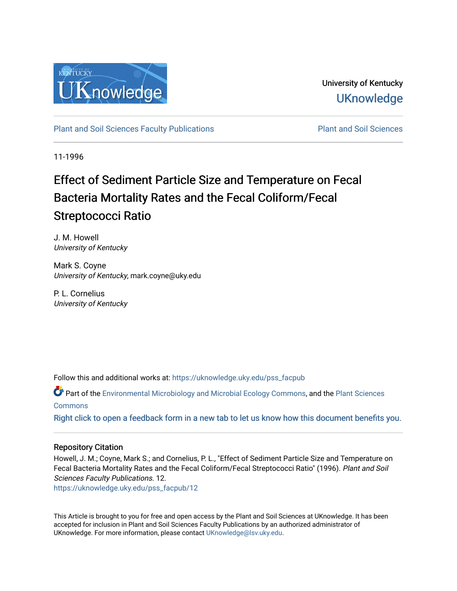

University of Kentucky **UKnowledge** 

[Plant and Soil Sciences Faculty Publications](https://uknowledge.uky.edu/pss_facpub) **Plant and Soil Sciences** Plant and Soil Sciences

11-1996

# Effect of Sediment Particle Size and Temperature on Fecal Bacteria Mortality Rates and the Fecal Coliform/Fecal Streptococci Ratio

J. M. Howell University of Kentucky

Mark S. Coyne University of Kentucky, mark.coyne@uky.edu

P. L. Cornelius University of Kentucky

Follow this and additional works at: [https://uknowledge.uky.edu/pss\\_facpub](https://uknowledge.uky.edu/pss_facpub?utm_source=uknowledge.uky.edu%2Fpss_facpub%2F12&utm_medium=PDF&utm_campaign=PDFCoverPages) 

Part of the [Environmental Microbiology and Microbial Ecology Commons,](http://network.bepress.com/hgg/discipline/50?utm_source=uknowledge.uky.edu%2Fpss_facpub%2F12&utm_medium=PDF&utm_campaign=PDFCoverPages) and the [Plant Sciences](http://network.bepress.com/hgg/discipline/102?utm_source=uknowledge.uky.edu%2Fpss_facpub%2F12&utm_medium=PDF&utm_campaign=PDFCoverPages) **[Commons](http://network.bepress.com/hgg/discipline/102?utm_source=uknowledge.uky.edu%2Fpss_facpub%2F12&utm_medium=PDF&utm_campaign=PDFCoverPages)** 

[Right click to open a feedback form in a new tab to let us know how this document benefits you.](https://uky.az1.qualtrics.com/jfe/form/SV_9mq8fx2GnONRfz7)

## Repository Citation

Howell, J. M.; Coyne, Mark S.; and Cornelius, P. L., "Effect of Sediment Particle Size and Temperature on Fecal Bacteria Mortality Rates and the Fecal Coliform/Fecal Streptococci Ratio" (1996). Plant and Soil Sciences Faculty Publications. 12.

[https://uknowledge.uky.edu/pss\\_facpub/12](https://uknowledge.uky.edu/pss_facpub/12?utm_source=uknowledge.uky.edu%2Fpss_facpub%2F12&utm_medium=PDF&utm_campaign=PDFCoverPages)

This Article is brought to you for free and open access by the Plant and Soil Sciences at UKnowledge. It has been accepted for inclusion in Plant and Soil Sciences Faculty Publications by an authorized administrator of UKnowledge. For more information, please contact [UKnowledge@lsv.uky.edu](mailto:UKnowledge@lsv.uky.edu).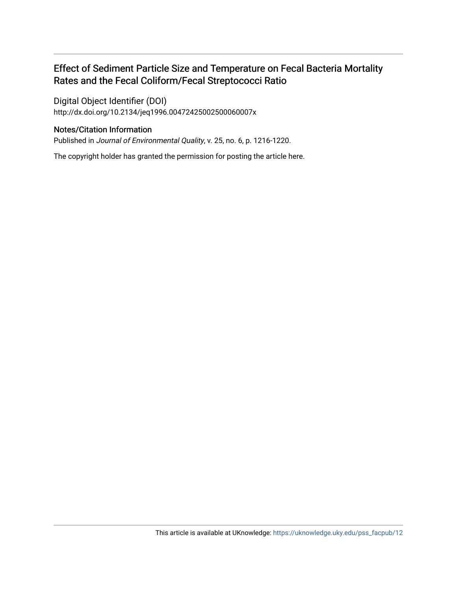# Effect of Sediment Particle Size and Temperature on Fecal Bacteria Mortality Rates and the Fecal Coliform/Fecal Streptococci Ratio

Digital Object Identifier (DOI) http://dx.doi.org/10.2134/jeq1996.00472425002500060007x

# Notes/Citation Information

Published in Journal of Environmental Quality, v. 25, no. 6, p. 1216-1220.

The copyright holder has granted the permission for posting the article here.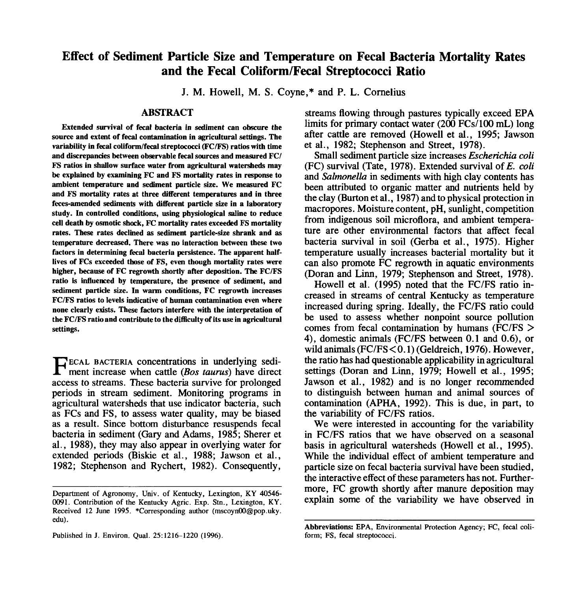# **Effect of Sediment Particle Size and Temperature on Fecal Bacteria Mortality Rates and the Fecal Coliform/Fecal Streptococci Ratio**

J. M. Howell, M. S. Coyne,\* and P. L. Cornelius

#### **ABSTRACT**

**Extended survival of fecal bacteria in sediment can obscure the source and extent of fecal contamination in agricultural settings. The variability in fecal coliform/fecal streptococci (FC/FS) ratios with time and discrepancies between observable fecal sources and measured FC/ FS ratios in shallow surface water from agricultural watersheds may be explained by examining FC and FS mortality rates in response to ambient temperature and sediment particle size. We measured FC and FS mortality rates at three different temperatures and in three feces-amended sediments with different particle size in a laboratory study. In controlled conditions, using physiological saline to reduce cell death by osmotic shock, FC mortality rates exceeded FS mortality rates. These rates declined as sediment particle-size shrank and as temperature decreased. There was no interaction between these two factors in determining fecal bacteria persistence. The apparent halflives of FCs exceeded those of FS, even though mortality rates were higher, because of FC regrowth shortly after deposition. The FC/FS ratio is influenced by temperature, the presence of sediment, and sediment particle size. In warm conditions, FC regrowth increases FC/FS ratios to levels indicative of human contamination even where none clearly exists. These factors interfere with the interpretation of the FC/FS ratio and contribute to the difficulty of its use in agricultural settings.**

**FECAL BACTERIA concentrations in underlying sedi-**<br>ment increase when cattle *(Bos taurus)* have direct-<br>ment streame. These best is unritius for neglected ECAL BACTERIA concentrations in underlying sediaccess to streams. These bacteria survive for prolonged periods in stream sediment. Monitoring programs in agricultural watersheds that use indicator bacteria, such as FCs and FS, to assess water quality, may be biased as a result. Since bottom disturbance resuspends fecal bacteria in sediment (Gary and Adams, 1985; Sherer et al., 1988), they may also appear in overlying water for extended periods (Biskie et al., 1988; Jawson et al., 1982; Stephenson and Rychert, 1982). Consequently,

Published in J. Environ. Qual. 25:1216-1220 (1996).

streams flowing through pastures typically exceed EPA limits for primary contact water (200 FCs/100 mL) long after cattle are removed (Howell et al., 1995; Jawson et al., 1982; Stephenson and Street, 1978).

Small sediment particle size increases *Escherichia coli* (FC) survival (Tate, 1978). Extended survival of *E. coli* and *Salmonella* in sediments with high clay contents has been attributed to organic matter and nutrients held by the clay (Burton et al., 1987) and to physical protection in macropores. Moisture content, pH, sunlight, competition from indigenous soil microflora, and ambient temperature are other environmental factors that affect fecal bacteria survival in soil (Gerba et al., 1975). Higher temperature usually increases bacterial mortality but it can also promote FC regrowth in aquatic environments (Doran and Linn, 1979; Stephenson and Street, 1978).

Howell et al. (1995) noted that the FC/FS ratio increased in streams of central Kentucky as temperature increased during spring. Ideally, the FC/FS ratio could be used to assess whether nonpoint source pollution comes from fecal contamination by humans (FC/FS > 4), domestic animals (FC/FS between 0.1 and 0.6), or wild animals (FC/FS<0.1) (Geldreich, 1976). However, the ratio has had questionable applicability in agricultural settings (Doran and Linn, 1979; Howell et al., 1995; Jawson et al., 1982) and is no longer recommended to distinguish between human and animal sources of contamination (APHA, 1992). This is due, in part, to the variability of FC/FS ratios.

We were interested in accounting for the variability in FC/FS ratios that we have observed on a seasonal basis in agricultural watersheds (Howell et al., 1995). While the individual effect of ambient temperature and particle size on fecal bacteria survival have been studied, the interactive effect of these parameters has not. Furthermore, FC growth shortly after manure deposition may explain some of the variability we have observed in

Department of Agronomy, Univ. of Kentucky, Lexington, KY 40546- 0091. Contribution of the Kentucky Agric. Exp. Stn., Lexington, KY. Received 12 June 1995. \*Corresponding author (mscoynOO@pop.uky. edu).

**Abbreviations:** EPA, Environmental Protection Agency; FC, fecal coliform; FS, fecal streptococci.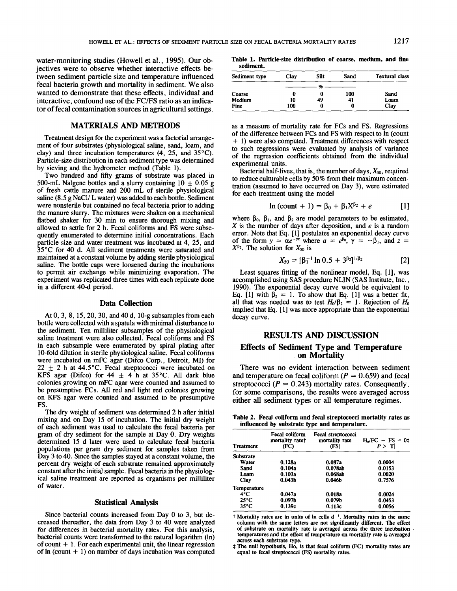water-monitoring studies (Howell et al., 1995). Our objectives were to observe whether interactive effects between sediment particle size and temperature influenced fecal bacteria growth and mortality in sediment. We also wanted to demonstrate that these effects, individual and interactive, confound use of the FC/FS ratio as an indicator of fecal contamination sources in agricultural settings.

#### MATERIALS AND METHODS

Treatment design for the experiment was a factorial arrangement of four substrates (physiological saline, sand, loam, and clay) and three incubation temperatures (4, 25, and 35°C). Particle-size distribution in each sediment ype was determined by sieving and the hydrometer method (Table 1).

Two hundred and fifty grams of substrate was placed in 500-mL Nalgene bottles and a slurry containing  $10 \pm 0.05$  g of fresh cattle manure and 200 mL of sterile physiological saline  $(8.5 g NaCl/L water)$  was added to each bottle. Sediment were nonsterile but contained no fecal bacteria prior to adding the manure slurry. The mixtures were shaken on a mechanical flatbed shaker for 30 min to ensure thorough mixing and allowed to settle for 2 h. Fecal coliforms and FS were subsequently enumerated to determine initial concentrations. Each particle size and water treatment was incubated at 4, 25, and 35°C for 40 d. All sediment treatments were saturated and maintained at a constant volume by adding sterile physiological saline. The bottle caps were loosened during the incubations to permit air exchange while minimizing evaporation. The experiment was replicated three times with each replicate done in a different 40-d period.

#### **Data Collection**

At 0, 3, 8, 15, 20, 30, and 40 d, 10-g subsamples from each bottle were collected with a spatula with minimal disturbance to the sediment. Ten milliliter subsamples of the physiological saline treatment were also collected. Fecal coliforms and FS in each subsample were enumerated by spiral plating after 10-fold dilution in sterile physiological saline. Fecal coliforms were incubated on mFC agar (Difco Corp., Detroit, MI) for  $22 \pm 2$  h at 44.5°C. Fecal streptococci were incubated on KFS agar (Difco) for  $44 \pm 4$  h at 35°C. All dark blue colonies growing on mFC agar were counted and assumed to be presumptive FCs. All red and light red colonies growing on KFS agar were counted and assumed to be presumptive FS.

The dry weight of sediment was determined 2 h after initial mixing and on Day 15 of incubation. The initial dry weight of each sediment was used to calculate the fecal bacteria per gram of dry sediment for the sample at Day 0. Dry weights determined 15 d later were used to calculate fecal bacteria populations per gram dry sediment for samples taken from Day 3 to 40. Since the samples stayed at a constant volume, the percent dry weight of each substrate remained approximately constant after the initial sample. Fecal bacteria in the physiological saline treatment are reported as organisms per milliliter of water.

#### **Statistical Analysis**

Since bacterial counts increased from Day 0 to 3, but decreased thereafter, the data from Day 3 to 40 were analyzed for differences in bacterial mortality rates. For this analysis, bacterial counts were transformed to the natural logarithm (In) of count  $+1$ . For each experimental unit, the linear regression of  $\ln$  (count  $+1$ ) on number of days incubation was computed

**Table** 1. Particle-size **distribution of coarse, medium, and fine sediment.**

| Sediment type | Clav | Silt | Sand | <b>Textural class</b> |
|---------------|------|------|------|-----------------------|
|               |      | οχ.  |      |                       |
| Coarse        | 0    |      | 100  | Sand                  |
| Medium        | 10   | 49   | 41   | Loam                  |
| Fine          | 100  |      | 0    | Clay                  |

as a measure of mortality rate for FCs and FS. Regressions of the difference between FCs and FS with respect to In (count + 1) were also computed. Treatment differences with respect to such regressions were evaluated by analysis of variance of the regression coefficients obtained from the individual experimental units.

Bacterial half-lives, that is, the number of days,  $X_{50}$ , required to reduce culturable cells by 50% from their maximum concentration (assumed to have occurred on Day 3), were estimated for each treatment using the model

$$
\ln (\text{count} + 1) = \beta_0 + \beta_1 X^{\beta_2} + e \qquad [1]
$$

where  $\beta_0$ ,  $\beta_1$ , and  $\beta_2$  are model parameters to be estimated,  $X$  is the number of days after deposition, and  $e$  is a random error. Note that Eq. [1] postulates an exponential decay curve of the form  $y = \alpha e^{-\gamma z}$  where  $a = e^{\beta \theta}$ ,  $\gamma = -\beta_1$ , and  $z =$  $X^{\beta_2}$ . The solution for  $X_{50}$  is

$$
X_{50} = [\beta_1^{-1} \ln 0.5 + 3^{\beta_2}]^{1/\beta_2}
$$
 [2]

Least squares fitting of the nonlinear model, Eq. [1], was accomplished using SAS procedure NLIN (SAS Institute, Inc., 1990). The exponential decay curve would be equivalent to Eq. [1] with  $\beta_2 = 1$ . To show that Eq. [1] was a better fit, all that was needed was to test  $H_0/\beta_2 = 1$ . Rejection of  $H_0$ implied that Eq. [1] was more appropriate than the exponential decay curve.

### RESULTS AND DISCUSSION **Effects of Sediment Type and** Temperature on Mortality

There was no evident interaction between sediment and temperature on fecal coliform ( $P = 0.659$ ) and fecal streptococci ( $P = 0.243$ ) mortality rates. Consequently, for some comparisons, the results were averaged across either all sediment types or all temperature regimes.

**Table 2. Fecal coliform and fecal streptococci mortality rates as influenced by substrate type and temperature.**

| <b>Treatment</b> | Fecal coliform<br>mortality rate†<br>(FC) | Fecal streptococci<br>mortality rate<br>(FS) | $H_0/FC - FS = 0$ ‡<br>P >  T |
|------------------|-------------------------------------------|----------------------------------------------|-------------------------------|
| Substrate        |                                           |                                              |                               |
| Water            | 0.128a                                    | 0.087a                                       | 0.0004                        |
| Sand             | 0.104a                                    | 0.078ab                                      | 0.0153                        |
| Loam             | 0.103a                                    | 0.068ab                                      | 0.0020                        |
| Clav             | 0.043 <sub>b</sub>                        | 0.046 <sub>b</sub>                           | 0.7576                        |
| Temperature      |                                           |                                              |                               |
| 4°C              | 0.047a                                    | 0.018a                                       | 0.0024                        |
| $25^{\circ}$ C   | 0.097 <sub>b</sub>                        | 0.079 <sub>b</sub>                           | 0.0453                        |
| $35^{\circ}$ C   | 0.139c                                    | 0.113c                                       | 0.0056                        |

Mortality **rates are in units of In cells** d- 1. Mortality **rates in the same column with the same letters are not significantly different. The effect of substrate** on mortality rate is **averaged across the** three incubation **temperatures and the effect of temperature** on mortality rate is **averaged across each substrate type.**

The null hypothesis, Ho, is that fecal coliform (FC) mortality **rates are** equal to fecal streptococci (FS) mortality **rates.**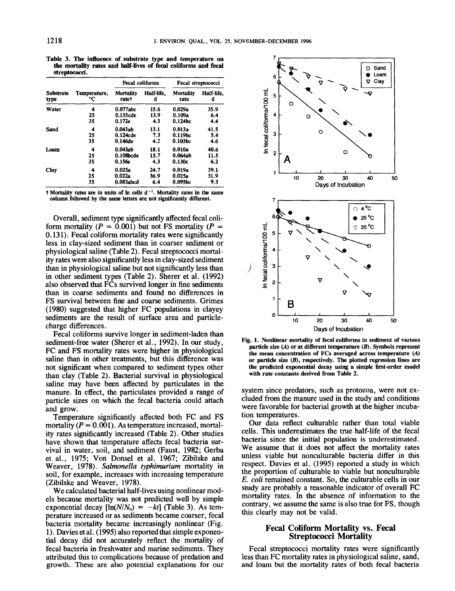**Table 3. The influence of substrate type and temperature on the mortality rates** and half-lives of fecal coliforms **and fecal streptococci.**

| Substrate<br>type | Temperature,<br>°C | <b>Fecal coliforms</b>    |                 | Fecal streptococci  |                 |
|-------------------|--------------------|---------------------------|-----------------|---------------------|-----------------|
|                   |                    | <b>Mortality</b><br>ratet | Half-life.<br>d | Mortality<br>rate   | Half-life.<br>d |
| Water             | 4                  | $0.077$ abc               | 15.6            | 0.029a              | 35.9            |
|                   | 25                 | 0.135cde                  | 13.9            | 0.109a              | 6.4             |
|                   | 35                 | 0.172e                    | 4.3             | 0.124 <sub>bc</sub> | 4.4             |
| Sand              | 4                  | 0.043ab                   | 13.1            | 0.013a              | 41.5            |
|                   | 25                 | 0.124cde                  | 7.3             | 0.119bc             | 5.4             |
|                   | 35                 | $0.146$ de                | 4.2             | 0.103 <sub>bc</sub> | 4.6             |
| Loam              | 4                  | 0.043ab                   | 18.1            | 0.010a              | 40.6            |
|                   | 25                 | 0.108bcde                 | 15.7            | 0.064ab             | 11.5            |
|                   | 35                 | 0.156e                    | 4.3             | 0.130c              | 6.2             |
| Clay              | 4                  | 0.025a                    | 24.7            | 0.019a              | 39.1            |
|                   | 25                 | 0.022a                    | 36.9            | 0.025a              | 31.9            |
|                   | 35                 | 0.083abcd                 | 6.4             | 0.095bc             | 9.3             |

<sup>†</sup> Mortality rates are in units of  $\ln$  cells d<sup>-1</sup>. Mortality rates in the same column followed by **the same letters are not** significantly different.

Overall, sediment type significantly affected fecal coliform mortality ( $P = 0.001$ ) but not FS mortality ( $P =$ 0.131). Fecal coliform mortality rates were significantly less in clay-sized sediment than in coarser sediment or physiological saline (Table 2). Fecal streptococci mortality rates were also significantly less in clay-sized sediment than in physiological saline but not significantly less than in other sediment types (Table 2). Sherer et al. (1992) also observed that FCs survived longer in fine sediments than in coarse sediments and found no differences in FS survival between fine and coarse sediments. Grimes (1980) suggested that higher FC populations in clayey sediments are the result of surface area and particlecharge differences.

Fecal coliforms survive longer in sediment-laden than sediment-free water (Sherer et al., 1992). In our study, FC and FS mortality rates were higher in physiological saline than in other treatments, but this difference was not significant when compared to sediment types other than clay (Table 2). Bacterial survival in physiological saline may have been affected by particulates in the manure. In effect, the particulates provided a range of particle sizes on which the fecal bacteria could attach and grow.

Temperature significantly affected both FC and FS mortality ( $P = 0.001$ ). As temperature increased, mortality rates significantly increased (Table 2). Other studies have shown that temperature affects fecal bacteria survival in water, soil, and sediment (Faust, 1982; Gerba et al., 1975; Von Donsel et al. 1967; Zibilske and Weaver, 1978). *Salmonella typhimurium* mortality in soil, for example, increases with increasing temperature (Zibilske and Weaver, 1978).

We calculated bacterial half-lives using nonlinear models because mortality was not predicted well by simple exponential decay  $[\ln(N/N_0) = -kt]$  (Table 3). As temperature increased or as sediments became coarser, fecal bacteria mortality became increasingly nonlinear (Fig. 1). Davies et al. (1995) also reported that simple exponential decay did not accurately reflect the mortality of fecal bacteria in freshwater and marine sediments. They attributed this to complications because of predation and growth. These are also potential explanations for our



**Fig. 1. Nonlinear** mortality of **fecal coliforms in sediment of various** particle size (A) or **at different temperature** (B). Symbols **represent the mean concentration of FCs averaged across temperature** (A) or particle size (B), respectively. The plotted regression **lines are the predicted exponential decay** using a simple first-order **model with rate constants derived from** Table 2.

system since predators, such as protozoa, were not excluded from the manure used in the study and conditions were favorable for bacterial growth at the higher incubation temperatures.

Our data reflect culturable rather than total viable cells. This underestimates the true half-life of the fecal bacteria since the initial population is underestimated. We assume that it does not affect the mortality rates unless viable but nonculturable bacteria differ in this respect. Davies et al. (1995) reported a study in which the proportion of culturable to viable but nonculturable *E. coli* remained constant. So, the culturable ceils in our study are probably a reasonable indicator of overall FC mortality rates. In the absence of information to the contrary, we assume the same is also true for FS, though this clearly may not be valid.

#### **Fecal Coliform Mortafity vs. Fecal Streptococci** Mortality

Fecal streptococci mortality rates were significantly less than FC mortality rates in physiological saline, sand, and loam but the mortality rates of both fecal bacteria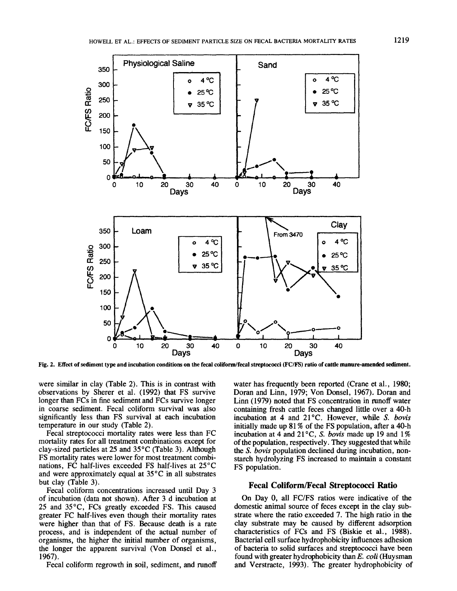

Fig. 2, Effect of sediment type **and incubation conditions** on the fecal coliform/fecal streptococci (FC/FS) ratio of **cattle maaure-amended** sediment.

were similar in clay (Table 2). This is in contrast with observations by Sherer et al. (1992) that FS survive longer than FCs in fine sediment and FCs survive longer in coarse sediment. Fecal coliform survival was also significantly less than FS survival at each incubation temperature in our study (Table 2).

Fecal streptococci mortality rates were less than FC mortality rates for all treatment combinations except for clay-sized particles at 25 and 35°C (Table 3). Although FS mortality rates were lower for most treatment combinations, FC half-lives exceeded FS half-lives at 25°C and were approximately equal at 35°C in all substrates but clay (Table 3).

Fecal coliform concentrations increased until Day 3 of incubation (data not shown). After 3 d incubation 25 and 35°C, FCs greatly exceeded FS. This caused greater FC half-lives even though their mortality rates were higher than that of FS. Because death is a rate process, and is independent of the actual number of organisms, the higher the initial number of organisms, the longer the apparent survival (Von Donsel et al., 1967).

Fecal coliform regrowth in soil, sediment, and runoff

water has frequently been reported (Crane et al., 1980; Doran and Linn, 1979; Von Donsel, 1967). Doran and Linn (1979) noted that FS concentration in runoff water containing fresh cattle feces changed little over a 40-h incubation at 4 and 21°C. However, while *S. bovis* initially made up 81% of the FS population, after a 40-h incubation at 4 and 21 °C, *S. bovis* made up 19 and 1% of the population, respectively. They suggested that while *the S. bovis* population declined during incubation, nonstarch hydrolyzing FS increased to maintain a constant FS population.

#### **Fecal Coliform/Fecal Streptococci Ratio**

On Day 0, all FC/FS ratios were indicative of the domestic animal source of feces except in the clay substrate where the ratio exceeded 7. The high ratio in the clay substrate may be caused by different adsorption characteristics of FCs and FS (Biskie et al., 1988). Bacterial cell surface hydrophobicity influences adhesion of bacteria to solid surfaces and streptococci have been found with greater hydrophobicity *than E. coli* (Huysman and Verstraete, 1993). The greater hydrophobicity of